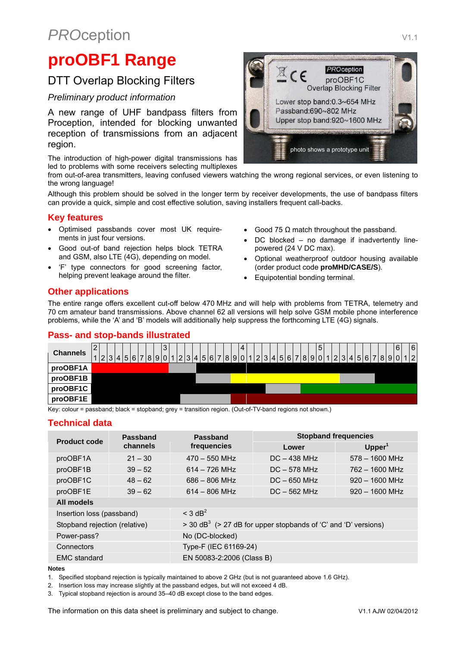# **PROception** V1.1

# **proOBF1 Range**

## DTT Overlap Blocking Filters

#### *Preliminary product information*

A new range of UHF bandpass filters from Proception, intended for blocking unwanted reception of transmissions from an adjacent region.

The introduction of high-power digital transmissions has led to problems with some receivers selecting multiplexes

from out-of-area transmitters, leaving confused viewers watching the wrong regional services, or even listening to the wrong language!

Although this problem should be solved in the longer term by receiver developments, the use of bandpass filters can provide a quick, simple and cost effective solution, saving installers frequent call-backs.

#### **Key features**

- Optimised passbands cover most UK requirements in just four versions.
- Good out-of band rejection helps block TETRA and GSM, also LTE (4G), depending on model.
- 'F' type connectors for good screening factor, helping prevent leakage around the filter.
- Good 75  $Ω$  match throughout the passband.
- DC blocked no damage if inadvertently linepowered (24 V DC max).

photo shows a prototype unit

- Optional weatherproof outdoor housing available (order product code **proMHD/CASE/S**).
- Equipotential bonding terminal.

### **Other applications**

The entire range offers excellent cut-off below 470 MHz and will help with problems from TETRA, telemetry and 70 cm amateur band transmissions. Above channel 62 all versions will help solve GSM mobile phone interference problems, while the 'A' and 'B' models will additionally help suppress the forthcoming LTE (4G) signals.

### **Pass- and stop-bands illustrated**

| <b>Channels</b> | $[2]3]4]5 6 7 8 9 0 1 2 3 4 5 6 7 8 9 0 1 2 3 4 5 6 7 8 9 0 1 2 3 4 5 6 7 8 9 0 1 2 $ |  |  |  | 3 |  |  |  |  | $\overline{4}$ |  |  |  |  | 5 |  |  |  |  | 6 | 6 |
|-----------------|---------------------------------------------------------------------------------------|--|--|--|---|--|--|--|--|----------------|--|--|--|--|---|--|--|--|--|---|---|
| proOBF1A        |                                                                                       |  |  |  |   |  |  |  |  |                |  |  |  |  |   |  |  |  |  |   |   |
| proOBF1B        |                                                                                       |  |  |  |   |  |  |  |  |                |  |  |  |  |   |  |  |  |  |   |   |
| proOBF1C        |                                                                                       |  |  |  |   |  |  |  |  |                |  |  |  |  |   |  |  |  |  |   |   |
| proOBF1E        |                                                                                       |  |  |  |   |  |  |  |  |                |  |  |  |  |   |  |  |  |  |   |   |

Key: colour = passband; black = stopband; grey = transition region. (Out-of-TV-band regions not shown.)

### **Technical data**

| <b>Product code</b>           | <b>Passband</b> | <b>Passband</b>                                                                 | <b>Stopband frequencies</b> |                    |  |  |  |  |  |  |  |
|-------------------------------|-----------------|---------------------------------------------------------------------------------|-----------------------------|--------------------|--|--|--|--|--|--|--|
|                               | channels        | frequencies                                                                     | Lower                       | Upper <sup>1</sup> |  |  |  |  |  |  |  |
| proOBF1A                      | $21 - 30$       | $470 - 550$ MHz                                                                 | $DC - 438 MHz$              | $578 - 1600$ MHz   |  |  |  |  |  |  |  |
| proOBF1B                      | $39 - 52$       | $614 - 726$ MHz                                                                 | $DC - 578 MHz$              | $762 - 1600$ MHz   |  |  |  |  |  |  |  |
| proOBF1C                      | $48 - 62$       | $686 - 806$ MHz                                                                 | $DC - 650 MHz$              | $920 - 1600$ MHz   |  |  |  |  |  |  |  |
| proOBF1E                      | $39 - 62$       | $614 - 806$ MHz                                                                 | $DC - 562 MHz$              | $920 - 1600$ MHz   |  |  |  |  |  |  |  |
| All models                    |                 |                                                                                 |                             |                    |  |  |  |  |  |  |  |
| Insertion loss (passband)     |                 | $<$ 3 dB <sup>2</sup>                                                           |                             |                    |  |  |  |  |  |  |  |
| Stopband rejection (relative) |                 | $>$ 30 dB <sup>3</sup> ( $>$ 27 dB for upper stopbands of 'C' and 'D' versions) |                             |                    |  |  |  |  |  |  |  |
| Power-pass?                   |                 | No (DC-blocked)                                                                 |                             |                    |  |  |  |  |  |  |  |
| Connectors                    |                 | Type-F (IEC 61169-24)                                                           |                             |                    |  |  |  |  |  |  |  |
| <b>EMC</b> standard           |                 |                                                                                 | EN 50083-2:2006 (Class B)   |                    |  |  |  |  |  |  |  |

#### **Notes**

1. Specified stopband rejection is typically maintained to above 2 GHz (but is not guaranteed above 1.6 GHz).

2. Insertion loss may increase slightly at the passband edges, but will not exceed 4 dB.

3. Typical stopband rejection is around 35–40 dB except close to the band edges.

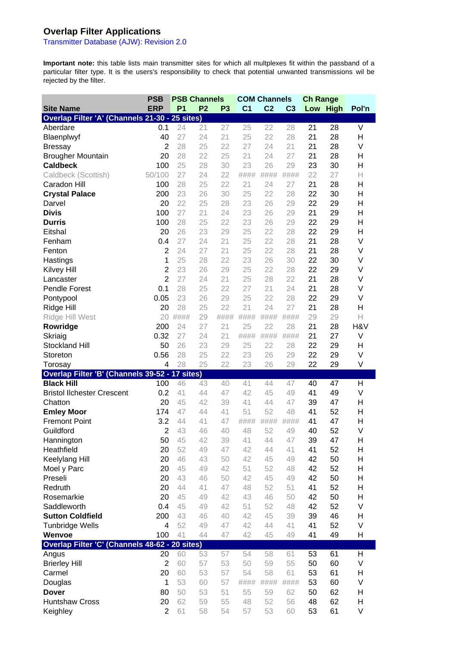### **Overlap Filter Applications**

Transmitter Database (AJW): Revision 2.0

**Important note:** this table lists main transmitter sites for which all multplexes fit within the passband of a particular filter type. It is the users's responsibility to check that potential unwanted transmissions wil be rejected by the filter.

|                                                | <b>PSB</b>     |                |                | <b>PSB Channels</b> |                | <b>COM Channels</b> |                | <b>Ch Range</b> |          |        |
|------------------------------------------------|----------------|----------------|----------------|---------------------|----------------|---------------------|----------------|-----------------|----------|--------|
| <b>Site Name</b>                               | <b>ERP</b>     | P <sub>1</sub> | P <sub>2</sub> | P <sub>3</sub>      | C <sub>1</sub> | C <sub>2</sub>      | C <sub>3</sub> |                 | Low High | Pol'n  |
| Overlap Filter 'A' (Channels 21-30 - 25 sites) |                |                |                |                     |                |                     |                |                 |          |        |
| Aberdare                                       | 0.1            | 24             | 21             | 27                  | 25             | 22                  | 28             | 21              | 28       | $\vee$ |
| Blaenplwyf                                     | 40             | 27             | 24             | 21                  | 25             | 22                  | 28             | 21              | 28       | H      |
| <b>Bressay</b>                                 | $\overline{2}$ | 28             | 25             | 22                  | 27             | 24                  | 21             | 21              | 28       | V      |
| <b>Brougher Mountain</b>                       | 20             | 28             | 22             | 25                  | 21             | 24                  | 27             | 21              | 28       | H      |
| <b>Caldbeck</b>                                | 100            | 25             | 28             | 30                  | 23             | 26                  | 29             | 23              | 30       | H      |
| Caldbeck (Scottish)                            | 50/100         | 27             | 24             | 22                  | ####           | ####                | ####           | 22              | 27       | Н      |
| Caradon Hill                                   | 100            | 28             | 25             | 22                  | 21             | 24                  | 27             | 21              | 28       | H      |
| <b>Crystal Palace</b>                          | 200            | 23             | 26             | 30                  | 25             | 22                  | 28             | 22              | 30       | H      |
| Darvel                                         | 20             | 22             | 25             | 28                  | 23             | 26                  | 29             | 22              | 29       | H      |
| <b>Divis</b>                                   | 100            | 27             | 21             | 24                  | 23             | 26                  | 29             | 21              | 29       | H      |
| <b>Durris</b>                                  | 100            | 28             | 25             | 22                  | 23             | 26                  | 29             | 22              | 29       | H      |
| Eitshal                                        | 20             | 26             | 23             | 29                  | 25             | 22                  | 28             | 22              | 29       | H      |
| Fenham                                         | 0.4            | 27             | 24             | 21                  | 25             | 22                  | 28             | 21              | 28       | V      |
| Fenton                                         | $\overline{2}$ | 24             | 27             | 21                  | 25             | 22                  | 28             | 21              | 28       | V      |
| Hastings                                       | 1              | 25             | 28             | 22                  | 23             | 26                  | 30             | 22              | 30       | V      |
| <b>Kilvey Hill</b>                             | $\overline{2}$ | 23             | 26             | 29                  | 25             | 22                  | 28             | 22              | 29       | V      |
| Lancaster                                      | $\overline{2}$ | 27             | 24             | 21                  | 25             | 28                  | 22             | 21              | 28       | V      |
| <b>Pendle Forest</b>                           | 0.1            | 28             | 25             | 22                  | 27             | 21                  | 24             | 21              | 28       | V      |
| Pontypool                                      | 0.05           | 23             | 26             | 29                  | 25             | 22                  | 28             | 22              | 29       | V      |
| Ridge Hill                                     | 20             | 28             | 25             | 22                  | 21             | 24                  | 27             | 21              | 28       | H      |
| Ridge Hill West                                | 20             | ####           | 29             | ####                | ####           | ####                | ####           | 29              | 29       | Н      |
| Rowridge                                       | 200            | 24             | 27             | 21                  | 25             | 22                  | 28             | 21              | 28       | H&V    |
| Skriaig                                        | 0.32           | 27             | 24             | 21                  | ####           | ####                | ####           | 21              | 27       | V      |
| Stockland Hill                                 | 50             | 26             | 23             | 29                  | 25             | 22                  | 28             | 22              | 29       | H      |
| Storeton                                       | 0.56           | 28             | 25             | 22                  | 23             | 26                  | 29             | 22              | 29       | V      |
| Torosay                                        | 4              | 28             | 25             | 22                  | 23             | 26                  | 29             | 22              | 29       | V      |
| Overlap Filter 'B' (Channels 39-52 - 17 sites) |                |                |                |                     |                |                     |                |                 |          |        |
| <b>Black Hill</b>                              | 100            | 46             | 43             | 40                  | 41             | 44                  | 47             | 40              | 47       | Н      |
| <b>Bristol Ilchester Crescent</b>              | 0.2            | 41             | 44             | 47                  | 42             | 45                  | 49             | 41              | 49       | V      |
| Chatton                                        | 20             | 45             | 42             | 39                  | 41             | 44                  | 47             | 39              | 47       | Н      |
| <b>Emley Moor</b>                              | 174            | 47             | 44             | 41                  | 51             | 52                  | 48             | 41              | 52       | H      |
| <b>Fremont Point</b>                           | 3.2            | 44             | 41             | 47                  | ####           | ####                | ####           | 41              | 47       | H      |
| Guildford                                      | $\overline{2}$ | 43             | 46             | 40                  | 48             | 52                  | 49             | 40              | 52       | $\vee$ |
| Hannington                                     | 50             | 45             | 42             | 39                  | 41             | 44                  | 47             | 39              | 47       | Н      |
| Heathfield                                     | 20             | 52             | 49             | 47                  | 42             | 44                  | 41             | 41              | 52       | н      |
| Keelylang Hill                                 | 20             | 46             | 43             | 50                  | 42             | 45                  | 49             | 42              | 50       | Н      |
| Moel y Parc                                    | 20             | 45             | 49             | 42                  | 51             | 52                  | 48             | 42              | 52       | Н      |
|                                                |                |                |                |                     |                |                     |                |                 |          | Н      |
|                                                |                |                |                |                     |                |                     |                |                 |          |        |
| Preseli                                        | 20             | 43             | 46             | 50                  | 42             | 45                  | 49             | 42              | 50       |        |
| Redruth                                        | 20             | 44             | 41             | 47                  | 48             | 52                  | 51             | 41              | 52       | Н      |
| Rosemarkie                                     | 20             | 45             | 49             | 42                  | 43             | 46                  | 50             | 42              | 50       | Н      |
| Saddleworth                                    | 0.4            | 45             | 49             | 42                  | 51             | 52                  | 48             | 42              | 52       | V      |
| <b>Sutton Coldfield</b>                        | 200            | 43             | 46             | 40                  | 42             | 45                  | 39             | 39              | 46       | Н      |
| <b>Tunbridge Wells</b>                         | 4              | 52             | 49             | 47                  | 42             | 44                  | 41             | 41              | 52       | V      |
| Wenvoe                                         | 100            | 41             | 44             | 47                  | 42             | 45                  | 49             | 41              | 49       | Н      |
| Overlap Filter 'C' (Channels 48-62 - 20 sites) |                |                |                |                     |                |                     |                |                 |          |        |
| Angus                                          | 20             | 60             | 53             | 57                  | 54             | 58                  | 61             | 53              | 61       | Н      |
| <b>Brierley Hill</b>                           | $\overline{2}$ | 60             | 57             | 53                  | 50             | 59                  | 55             | 50              | 60       | V      |
| Carmel                                         | 20             | 60             | 53             | 57                  | 54             | 58                  | 61             | 53              | 61       | Н      |
| Douglas                                        | 1              | 53             | 60             | 57                  | ####           | ####                | ####           | 53              | 60       | V      |
| <b>Dover</b><br><b>Huntshaw Cross</b>          | 80<br>20       | 50<br>62       | 53<br>59       | 51<br>55            | 55<br>48       | 59<br>52            | 62<br>56       | 50<br>48        | 62<br>62 | Η<br>Н |